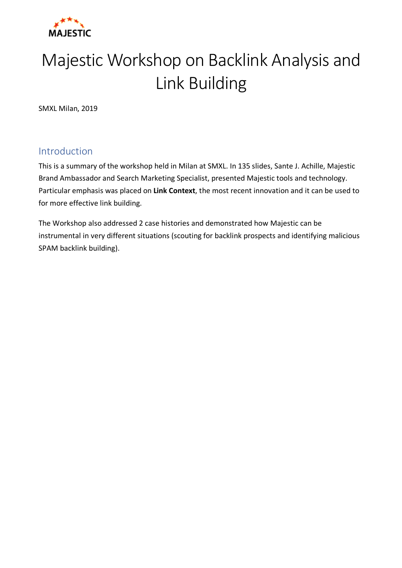

# Majestic Workshop on Backlink Analysis and Link Building

SMXL Milan, 2019

# Introduction

This is a summary of the workshop held in Milan at SMXL. In 135 slides, Sante J. Achille, Majestic Brand Ambassador and Search Marketing Specialist, presented Majestic tools and technology. Particular emphasis was placed on **Link Context**, the most recent innovation and it can be used to for more effective link building.

The Workshop also addressed 2 case histories and demonstrated how Majestic can be instrumental in very different situations (scouting for backlink prospects and identifying malicious SPAM backlink building).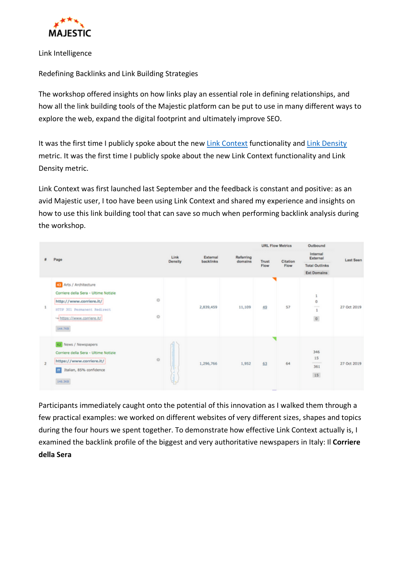

Link Intelligence

Redefining Backlinks and Link Building Strategies

The workshop offered insights on how links play an essential role in defining relationships, and how all the link building tools of the Majestic platform can be put to use in many different ways to explore the web, expand the digital footprint and ultimately improve SEO.

It was the first time I publicly spoke about the new Link Context functionality and Link Density metric. It was the first time I publicly spoke about the new Link Context functionality and Link Density metric.

Link Context was first launched last September and the feedback is constant and positive: as an avid Majestic user, I too have been using Link Context and shared my experience and insights on how to use this link building tool that can save so much when performing backlink analysis during the workshop.

|   | Page                                                                                                                                                                   |                        |                       | Referring<br>domains | <b>URL Flow Metrics</b> |                  | Outbound                      |             |
|---|------------------------------------------------------------------------------------------------------------------------------------------------------------------------|------------------------|-----------------------|----------------------|-------------------------|------------------|-------------------------------|-------------|
|   |                                                                                                                                                                        | Link<br><b>Density</b> | External<br>backlinks |                      | <b>Trust</b><br>Flow    | Citation<br>Flow | Internal<br>External          | Last Seen   |
|   |                                                                                                                                                                        |                        |                       |                      |                         |                  | <b>Total Outlinks</b>         |             |
|   |                                                                                                                                                                        |                        |                       |                      |                         |                  | <b>Ext Domains</b>            |             |
|   | Arts / Architecture<br>Corriere della Sera - Ultime Notizie<br>o<br>http://www.corriere.it/<br>HTTP 301 Permanent Redirect<br>o<br>https://www.corriere.it/<br>144.703 |                        | 2,839,459             | 11,109               | 49                      | 57               | 1<br>o<br>-<br>1<br>$\circ$   | 27 Oct 2019 |
| 2 | 62 News / Newspapers<br>Corriere della Sera - Ultime Notizie<br>$\circ$<br>https://www.corriere.it/<br>Italian, 85% confidence<br>$\mathbf{H}$<br>146.303              | ļ                      | 1,296,766             | 1,952                | 63                      | 64               | 346<br>15<br>---<br>361<br>15 | 27 Oct 2019 |

Participants immediately caught onto the potential of this innovation as I walked them through a few practical examples: we worked on different websites of very different sizes, shapes and topics during the four hours we spent together. To demonstrate how effective Link Context actually is, I examined the backlink profile of the biggest and very authoritative newspapers in Italy: Il **Corriere della Sera**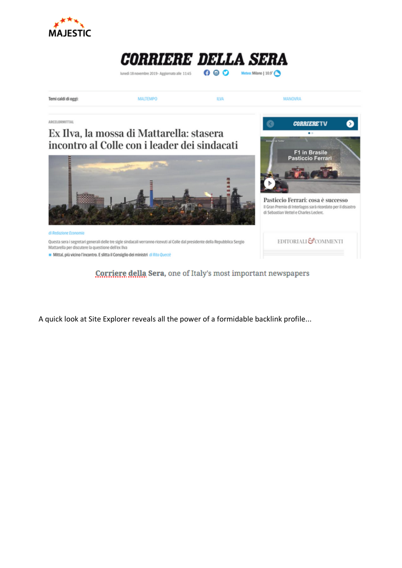





A quick look at Site Explorer reveals all the power of a formidable backlink profile...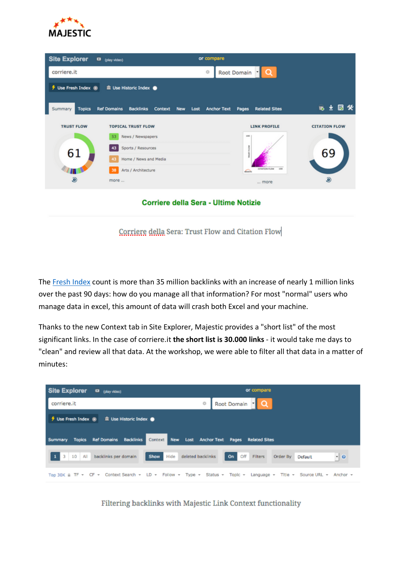

| <b>Site Explorer</b>     | D (play video)                                    | or compare                               |                                                    |                      |
|--------------------------|---------------------------------------------------|------------------------------------------|----------------------------------------------------|----------------------|
| corriere.it              |                                                   | o                                        | Root Domain - Q                                    |                      |
| + Use Fresh Index @      | <sup>■</sup> Use Historic Index ●                 |                                          |                                                    |                      |
| Summary<br><b>Topics</b> | <b>Ref Domains</b><br><b>Backlinks</b><br>Context | Lost<br><b>New</b><br><b>Anchor Text</b> | <b>Related Sites</b><br>Pages                      | 临生园货                 |
| <b>TRUST FLOW</b>        | <b>TOPICAL TRUST FLOW</b>                         |                                          | <b>LINK PROFILE</b>                                | <b>CITATION FLOW</b> |
|                          | News / Newspapers<br>53                           |                                          | 100                                                |                      |
| 61                       | Sports / Resources                                |                                          |                                                    | 69                   |
|                          | Home / News and Media<br>43                       |                                          |                                                    |                      |
|                          | Arts / Architecture<br>38                         |                                          | <b>CITATION FLOW</b><br><b>Link</b><br><b>Side</b> |                      |
| ⊛                        | more                                              |                                          | more                                               | ⊛                    |

Corriere della Sera - Ultime Notizie

Corriere della Sera: Trust Flow and Citation Flow

The Fresh Index count is more than 35 million backlinks with an increase of nearly 1 million links over the past 90 days: how do you manage all that information? For most "normal" users who manage data in excel, this amount of data will crash both Excel and your machine.

Thanks to the new Context tab in Site Explorer, Majestic provides a "short list" of the most significant links. In the case of corriere.it **the short list is 30.000 links** - it would take me days to "clean" and review all that data. At the workshop, we were able to filter all that data in a matter of minutes:



Filtering backlinks with Majestic Link Context functionality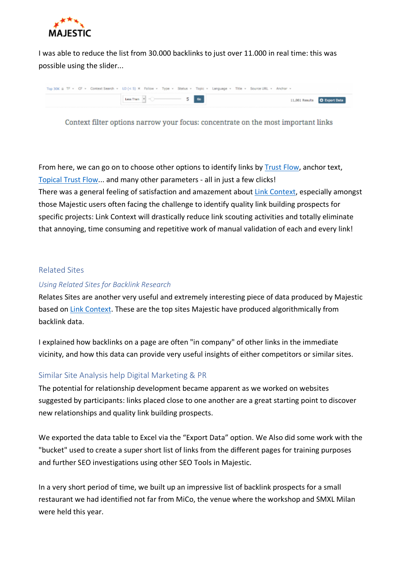

I was able to reduce the list from 30.000 backlinks to just over 11.000 in real time: this was possible using the slider...

| Top 30K & TF + CF + Context Search + LD (< 5) X Follow + Type + Status + Topic + Language + Title + Source URL + Anchor + |                      |  |                              |
|---------------------------------------------------------------------------------------------------------------------------|----------------------|--|------------------------------|
|                                                                                                                           | Less Than - - - 5 Go |  | 11,081 Results C Export Data |

Context filter options narrow your focus: concentrate on the most important links

From here, we can go on to choose other options to identify links by Trust Flow, anchor text, Topical Trust Flow... and many other parameters - all in just a few clicks!

There was a general feeling of satisfaction and amazement about Link Context, especially amongst those Majestic users often facing the challenge to identify quality link building prospects for specific projects: Link Context will drastically reduce link scouting activities and totally eliminate that annoying, time consuming and repetitive work of manual validation of each and every link!

#### Related Sites

#### *Using Related Sites for Backlink Research*

Relates Sites are another very useful and extremely interesting piece of data produced by Majestic based on Link Context. These are the top sites Majestic have produced algorithmically from backlink data.

I explained how backlinks on a page are often "in company" of other links in the immediate vicinity, and how this data can provide very useful insights of either competitors or similar sites.

#### Similar Site Analysis help Digital Marketing & PR

The potential for relationship development became apparent as we worked on websites suggested by participants: links placed close to one another are a great starting point to discover new relationships and quality link building prospects.

We exported the data table to Excel via the "Export Data" option. We Also did some work with the "bucket" used to create a super short list of links from the different pages for training purposes and further SEO investigations using other SEO Tools in Majestic.

In a very short period of time, we built up an impressive list of backlink prospects for a small restaurant we had identified not far from MiCo, the venue where the workshop and SMXL Milan were held this year.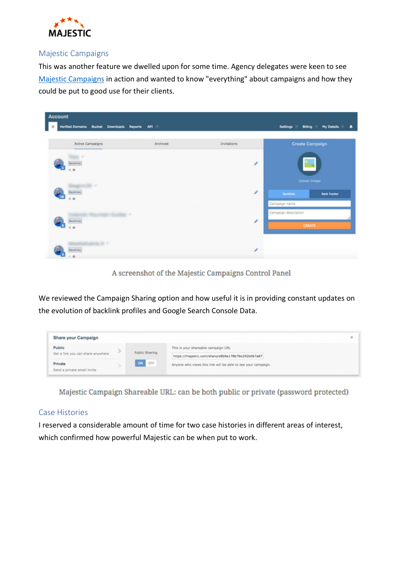

#### Majestic Campaigns

This was another feature we dwelled upon for some time. Agency delegates were keen to see Majestic Campaigns in action and wanted to know "everything" about campaigns and how they could be put to good use for their clients.

| Account                                                           |          |             |                                                                  |  |  |  |  |
|-------------------------------------------------------------------|----------|-------------|------------------------------------------------------------------|--|--|--|--|
| Verified Domains Bucket Downloads Reports API +<br>$\mathbb{R}^n$ |          |             | Settings <b>D</b><br>$My$ Details $\odot$<br><b>Billing</b><br>٠ |  |  |  |  |
|                                                                   |          |             |                                                                  |  |  |  |  |
| Active Campaigns                                                  | Archived | Invitations | <b>Create Campaign</b>                                           |  |  |  |  |
| $-1$<br><b>Backlinks</b><br>4. 15                                 |          | ╭           |                                                                  |  |  |  |  |
| $\cdots$                                                          |          |             | <b>Upload Image</b>                                              |  |  |  |  |
| Backlinks<br>4.8                                                  |          | v           | <b>Rank Tracker</b><br><b>Backlinks</b>                          |  |  |  |  |
|                                                                   |          |             | Campaign name                                                    |  |  |  |  |
| <b>SECTION AND A</b>                                              |          |             | Campaign description                                             |  |  |  |  |
| Backlinks<br>$<$ 8                                                |          | ,           | <b>CREATE</b>                                                    |  |  |  |  |
| <b>Common Street</b><br>Backlinks<br>$\leq$ m                     |          | ╭           |                                                                  |  |  |  |  |

A screenshot of the Majestic Campaigns Control Panel

We reviewed the Campaign Sharing option and how useful it is in providing constant updates on the evolution of backlink profiles and Google Search Console Data.



Majestic Campaign Shareable URL: can be both public or private (password protected)

#### Case Histories

I reserved a considerable amount of time for two case histories in different areas of interest, which confirmed how powerful Majestic can be when put to work.